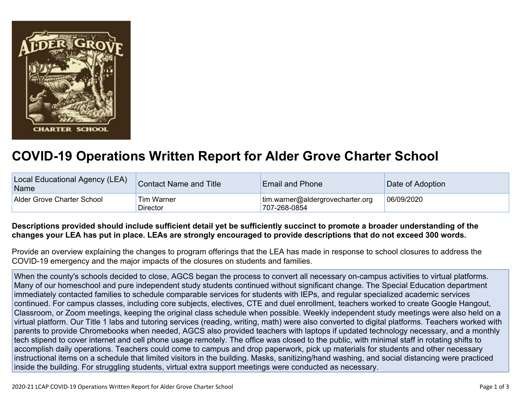

## **COVID-19 Operations Written Report for Alder Grove Charter School**

| Local Educational Agency (LEA)<br>Name | <b>Contact Name and Title</b> | <b>Email and Phone</b>                           | Date of Adoption |
|----------------------------------------|-------------------------------|--------------------------------------------------|------------------|
| Alder Grove Charter School             | <b>Tim Warner</b><br>Director | tim.warner@aldergrovecharter.org<br>707-268-0854 | 06/09/2020       |

## Descriptions provided should include sufficient detail yet be sufficiently succinct to promote a broader understanding of the changes your LEA has put in place. LEAs are strongly encouraged to provide descriptions that do not exceed 300 words.

Provide an overview explaining the changes to program offerings that the LEA has made in response to school closures to address the COVID-19 emergency and the major impacts of the closures on students and families.

When the county's schools decided to close, AGCS began the process to convert all necessary on-campus activities to virtual platforms. Many of our homeschool and pure independent study students continued without significant change. The Special Education department immediately contacted families to schedule comparable services for students with IEPs, and regular specialized academic services continued. For campus classes, including core subjects, electives, CTE and duel enrollment, teachers worked to create Google Hangout, Classroom, or Zoom meetings, keeping the original class schedule when possible. Weekly independent study meetings were also held on a virtual platform. Our Title 1 labs and tutoring services (reading, writing, math) were also converted to digital platforms. Teachers worked with parents to provide Chromebooks when needed, AGCS also provided teachers with laptops if updated technology necessary, and a monthly tech stipend to cover internet and cell phone usage remotely. The office was closed to the public, with minimal staff in rotating shifts to accomplish daily operations. Teachers could come to campus and drop paperwork, pick up materials for students and other necessary instructional items on a schedule that limited visitors in the building. Masks, sanitizing/hand washing, and social distancing were practiced inside the building. For struggling students, virtual extra support meetings were conducted as necessary.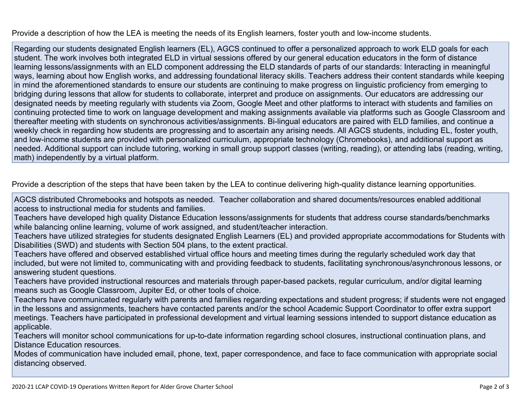Provide a description of how the LEA is meeting the needs of its English learners, foster youth and low-income students.

Regarding our students designated English learners (EL), AGCS continued to offer a personalized approach to work ELD goals for each student. The work involves both integrated ELD in virtual sessions offered by our general education educators in the form of distance learning lessons/assignments with an ELD component addressing the ELD standards of parts of our standards: Interacting in meaningful ways, learning about how English works, and addressing foundational literacy skills. Teachers address their content standards while keeping in mind the aforementioned standards to ensure our students are continuing to make progress on linguistic proficiency from emerging to bridging during lessons that allow for students to collaborate, interpret and produce on assignments. Our educators are addressing our designated needs by meeting regularly with students via Zoom, Google Meet and other platforms to interact with students and families on continuing protected time to work on language development and making assignments available via platforms such as Google Classroom and thereafter meeting with students on synchronous activities/assignments. Bi-lingual educators are paired with ELD families, and continue a weekly check in regarding how students are progressing and to ascertain any arising needs. All AGCS students, including EL, foster youth, and low-income students are provided with personalized curriculum, appropriate technology (Chromebooks), and additional support as needed. Additional support can include tutoring, working in small group support classes (writing, reading), or attending labs (reading, writing, math) independently by a virtual platform.

Provide a description of the steps that have been taken by the LEA to continue delivering high-quality distance learning opportunities.

AGCS distributed Chromebooks and hotspots as needed. Teacher collaboration and shared documents/resources enabled additional access to instructional media for students and families.

Teachers have developed high quality Distance Education lessons/assignments for students that address course standards/benchmarks while balancing online learning, volume of work assigned, and student/teacher interaction.

Teachers have utilized strategies for students designated English Learners (EL) and provided appropriate accommodations for Students with Disabilities (SWD) and students with Section 504 plans, to the extent practical.

Teachers have offered and observed established virtual office hours and meeting times during the regularly scheduled work day that included, but were not limited to, communicating with and providing feedback to students, facilitating synchronous/asynchronous lessons, or answering student questions.

Teachers have provided instructional resources and materials through paper-based packets, regular curriculum, and/or digital learning means such as Google Classroom, Jupiter Ed, or other tools of choice.

Teachers have communicated regularly with parents and families regarding expectations and student progress; if students were not engaged in the lessons and assignments, teachers have contacted parents and/or the school Academic Support Coordinator to offer extra support meetings. Teachers have participated in professional development and virtual learning sessions intended to support distance education as applicable.

Teachers will monitor school communications for up-to-date information regarding school closures, instructional continuation plans, and Distance Education resources.

Modes of communication have included email, phone, text, paper correspondence, and face to face communication with appropriate social distancing observed.